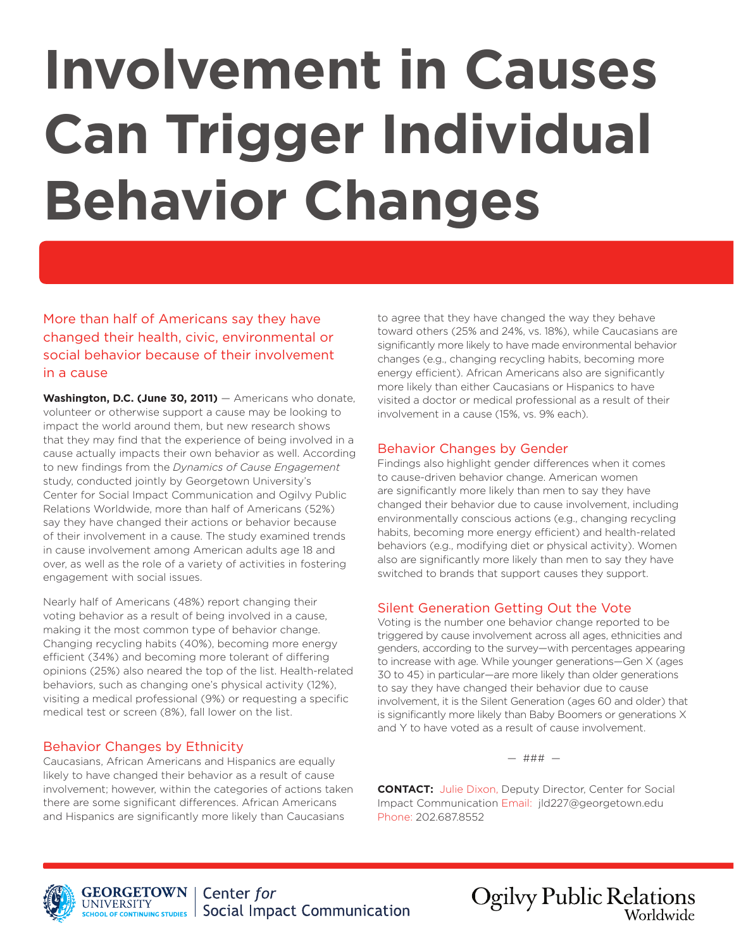# **Involvement in Causes Can Trigger Individual Behavior Changes**

More than half of Americans say they have changed their health, civic, environmental or social behavior because of their involvement in a cause

Washington, D.C. (June 30, 2011) – Americans who donate, volunteer or otherwise support a cause may be looking to impact the world around them, but new research shows that they may find that the experience of being involved in a cause actually impacts their own behavior as well. According to new findings from the *Dynamics of Cause Engagement* study, conducted jointly by Georgetown University's Center for Social Impact Communication and Ogilvy Public Relations Worldwide, more than half of Americans (52%) say they have changed their actions or behavior because of their involvement in a cause. The study examined trends in cause involvement among American adults age 18 and over, as well as the role of a variety of activities in fostering engagement with social issues.

Nearly half of Americans (48%) report changing their voting behavior as a result of being involved in a cause, making it the most common type of behavior change. Changing recycling habits (40%), becoming more energy efficient (34%) and becoming more tolerant of differing opinions (25%) also neared the top of the list. Health-related behaviors, such as changing one's physical activity (12%), visiting a medical professional (9%) or requesting a specific medical test or screen (8%), fall lower on the list.

# Behavior Changes by Ethnicity

Caucasians, African Americans and Hispanics are equally likely to have changed their behavior as a result of cause involvement; however, within the categories of actions taken there are some significant differences. African Americans and Hispanics are significantly more likely than Caucasians

to agree that they have changed the way they behave toward others (25% and 24%, vs. 18%), while Caucasians are significantly more likely to have made environmental behavior changes (e.g., changing recycling habits, becoming more energy efficient). African Americans also are significantly more likely than either Caucasians or Hispanics to have visited a doctor or medical professional as a result of their involvement in a cause (15%, vs. 9% each).

# Behavior Changes by Gender

Findings also highlight gender differences when it comes to cause-driven behavior change. American women are significantly more likely than men to say they have changed their behavior due to cause involvement, including environmentally conscious actions (e.g., changing recycling habits, becoming more energy efficient) and health-related behaviors (e.g., modifying diet or physical activity). Women also are significantly more likely than men to say they have switched to brands that support causes they support.

# Silent Generation Getting Out the Vote

Voting is the number one behavior change reported to be triggered by cause involvement across all ages, ethnicities and genders, according to the survey—with percentages appearing to increase with age. While younger generations—Gen X (ages 30 to 45) in particular—are more likely than older generations to say they have changed their behavior due to cause involvement, it is the Silent Generation (ages 60 and older) that is significantly more likely than Baby Boomers or generations X and Y to have voted as a result of cause involvement.

— ### —

**CONTACT:** Julie Dixon, Deputy Director, Center for Social Impact Communication Email: jld227@georgetown.edu Phone: 202.687.8552



**Ogilvy Public Relations** Worldwide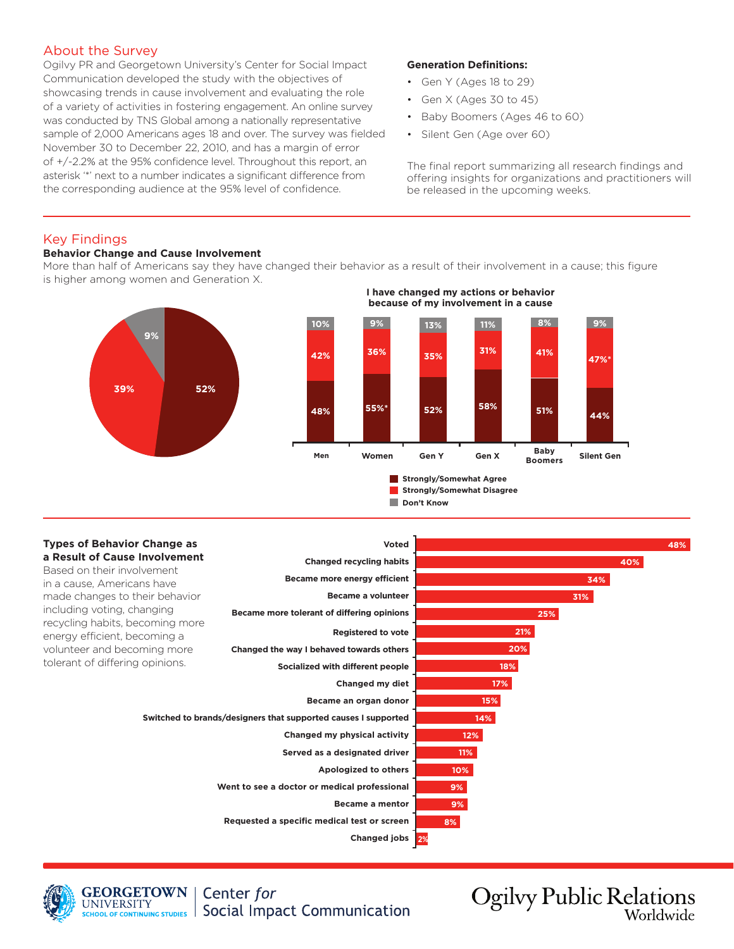# About the Survey

Ogilvy PR and Georgetown University's Center for Social Impact Communication developed the study with the objectives of showcasing trends in cause involvement and evaluating the role of a variety of activities in fostering engagement. An online survey was conducted by TNS Global among a nationally representative sample of 2,000 Americans ages 18 and over. The survey was fielded November 30 to December 22, 2010, and has a margin of error of +/-2.2% at the 95% confidence level. Throughout this report, an asterisk '\*' next to a number indicates a significant difference from the corresponding audience at the 95% level of confidence.

#### **Generation Definitions:**

- Gen Y (Ages 18 to 29)
- Gen X (Ages 30 to 45)
- Baby Boomers (Ages 46 to 60)
- Silent Gen (Age over 60)

The final report summarizing all research findings and offering insights for organizations and practitioners will be released in the upcoming weeks.

#### Key Findings

#### **Behavior Change and Cause Involvement**

More than half of Americans say they have changed their behavior as a result of their involvement in a cause; this figure is higher among women and Generation X.



# **I have changed my actions or behavior because of my involvement in a cause**



**Don't Know** 

#### **Types of Behavior Change as a Result of Cause Involvement** Based on their involvement in a cause, Americans have made changes to their behavior including voting, changing recycling habits, becoming more energy efficient, becoming a volunteer and becoming more tolerant of differing opinions. **2% 21% 20% 18% 17% 15% 14% 12% 11% 10% 9% 9% 8% 48% 40% 34% 31% 25% Registered to vote Changed the way I behaved towards others Socialized with different people Changed my diet Became an organ donor Switched to brands/designers that supported causes I supported Changed my physical activity Served as a designated driver Apologized to others Went to see a doctor or medical professional Became a mentor Requested a specific medical test or screen Changed jobs Voted Changed recycling habits Became more energy efficient Became a volunteer Became more tolerant of differing opinions**



**GEORGETOWN** Center for **UNIVERSITY Social Impact Communication** SCHOOL OF CONTINUING STUDIES

**Ogilvy Public Relations** Worldwide